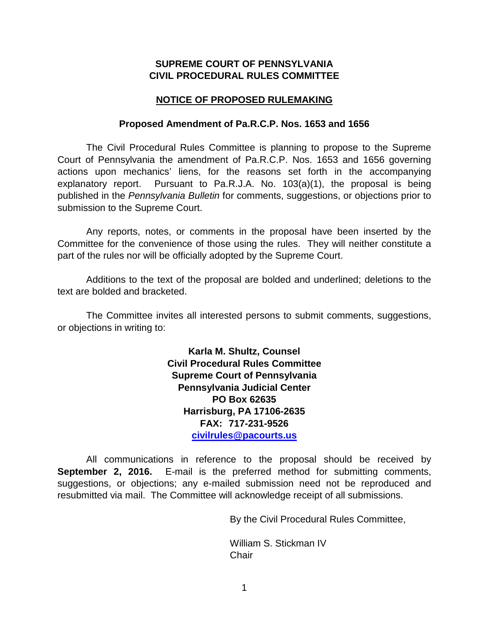### **SUPREME COURT OF PENNSYLVANIA CIVIL PROCEDURAL RULES COMMITTEE**

### **NOTICE OF PROPOSED RULEMAKING**

#### **Proposed Amendment of Pa.R.C.P. Nos. 1653 and 1656**

The Civil Procedural Rules Committee is planning to propose to the Supreme Court of Pennsylvania the amendment of Pa.R.C.P. Nos. 1653 and 1656 governing actions upon mechanics' liens, for the reasons set forth in the accompanying explanatory report. Pursuant to Pa.R.J.A. No. 103(a)(1), the proposal is being published in the *Pennsylvania Bulletin* for comments, suggestions, or objections prior to submission to the Supreme Court.

Any reports, notes, or comments in the proposal have been inserted by the Committee for the convenience of those using the rules. They will neither constitute a part of the rules nor will be officially adopted by the Supreme Court.

Additions to the text of the proposal are bolded and underlined; deletions to the text are bolded and bracketed.

The Committee invites all interested persons to submit comments, suggestions, or objections in writing to:

> **Karla M. Shultz, Counsel Civil Procedural Rules Committee Supreme Court of Pennsylvania Pennsylvania Judicial Center PO Box 62635 Harrisburg, PA 17106-2635 FAX: 717-231-9526 [civilrules@pacourts.us](mailto:civilrules@pacourts.us)**

All communications in reference to the proposal should be received by **September 2, 2016.** E-mail is the preferred method for submitting comments, suggestions, or objections; any e-mailed submission need not be reproduced and resubmitted via mail. The Committee will acknowledge receipt of all submissions.

By the Civil Procedural Rules Committee,

William S. Stickman IV **Chair**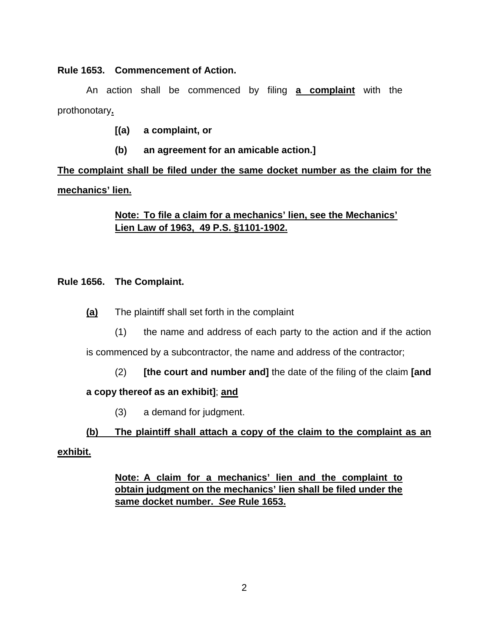### **Rule 1653. Commencement of Action.**

An action shall be commenced by filing **a complaint** with the prothonotary**.**

- **[(a) a complaint, or**
- **(b) an agreement for an amicable action.]**

**The complaint shall be filed under the same docket number as the claim for the mechanics' lien.**

## **Note: To file a claim for a mechanics' lien, see the Mechanics' Lien Law of 1963, 49 P.S. §1101-1902.**

## **Rule 1656. The Complaint.**

- **(a)** The plaintiff shall set forth in the complaint
	- (1) the name and address of each party to the action and if the action

is commenced by a subcontractor, the name and address of the contractor;

(2) **[the court and number and]** the date of the filing of the claim **[and** 

## **a copy thereof as an exhibit]**; **and**

(3) a demand for judgment.

# **(b) The plaintiff shall attach a copy of the claim to the complaint as an**

### **exhibit.**

**Note: A claim for a mechanics' lien and the complaint to obtain judgment on the mechanics' lien shall be filed under the same docket number.** *See* **Rule 1653.**